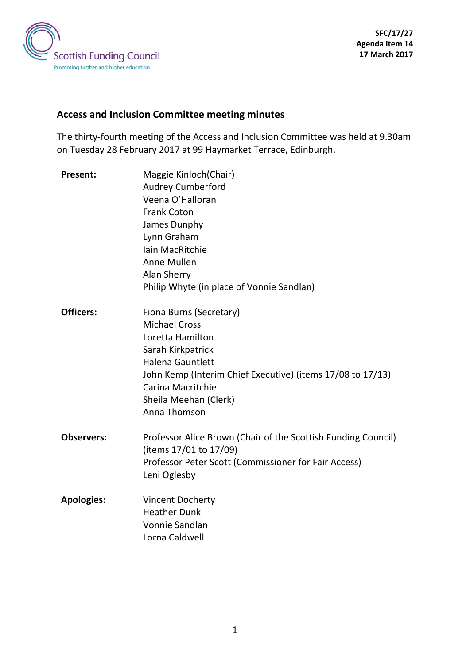

# **Access and Inclusion Committee meeting minutes**

The thirty-fourth meeting of the Access and Inclusion Committee was held at 9.30am on Tuesday 28 February 2017 at 99 Haymarket Terrace, Edinburgh.

| <b>Present:</b>   | Maggie Kinloch(Chair)                                         |
|-------------------|---------------------------------------------------------------|
|                   | <b>Audrey Cumberford</b>                                      |
|                   | Veena O'Halloran                                              |
|                   | <b>Frank Coton</b>                                            |
|                   | James Dunphy                                                  |
|                   | Lynn Graham                                                   |
|                   | Iain MacRitchie                                               |
|                   | Anne Mullen                                                   |
|                   | <b>Alan Sherry</b>                                            |
|                   | Philip Whyte (in place of Vonnie Sandlan)                     |
| <b>Officers:</b>  | Fiona Burns (Secretary)                                       |
|                   | <b>Michael Cross</b>                                          |
|                   | Loretta Hamilton                                              |
|                   | Sarah Kirkpatrick                                             |
|                   | <b>Halena Gauntlett</b>                                       |
|                   | John Kemp (Interim Chief Executive) (items 17/08 to 17/13)    |
|                   | Carina Macritchie                                             |
|                   | Sheila Meehan (Clerk)                                         |
|                   | Anna Thomson                                                  |
| <b>Observers:</b> | Professor Alice Brown (Chair of the Scottish Funding Council) |
|                   | (items 17/01 to 17/09)                                        |
|                   | Professor Peter Scott (Commissioner for Fair Access)          |
|                   | Leni Oglesby                                                  |
| <b>Apologies:</b> | <b>Vincent Docherty</b>                                       |
|                   | <b>Heather Dunk</b>                                           |
|                   | Vonnie Sandlan                                                |
|                   | Lorna Caldwell                                                |
|                   |                                                               |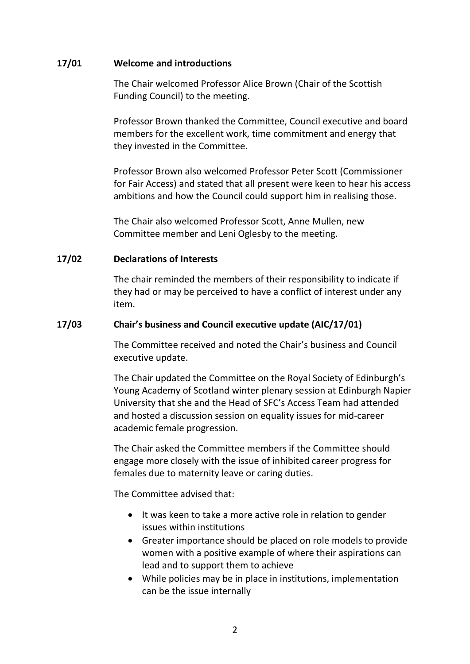#### **17/01 Welcome and introductions**

The Chair welcomed Professor Alice Brown (Chair of the Scottish Funding Council) to the meeting.

Professor Brown thanked the Committee, Council executive and board members for the excellent work, time commitment and energy that they invested in the Committee.

Professor Brown also welcomed Professor Peter Scott (Commissioner for Fair Access) and stated that all present were keen to hear his access ambitions and how the Council could support him in realising those.

The Chair also welcomed Professor Scott, Anne Mullen, new Committee member and Leni Oglesby to the meeting.

#### **17/02 Declarations of Interests**

The chair reminded the members of their responsibility to indicate if they had or may be perceived to have a conflict of interest under any item.

#### **17/03 Chair's business and Council executive update (AIC/17/01)**

The Committee received and noted the Chair's business and Council executive update.

The Chair updated the Committee on the Royal Society of Edinburgh's Young Academy of Scotland winter plenary session at Edinburgh Napier University that she and the Head of SFC's Access Team had attended and hosted a discussion session on equality issues for mid-career academic female progression.

The Chair asked the Committee members if the Committee should engage more closely with the issue of inhibited career progress for females due to maternity leave or caring duties.

- It was keen to take a more active role in relation to gender issues within institutions
- Greater importance should be placed on role models to provide women with a positive example of where their aspirations can lead and to support them to achieve
- While policies may be in place in institutions, implementation can be the issue internally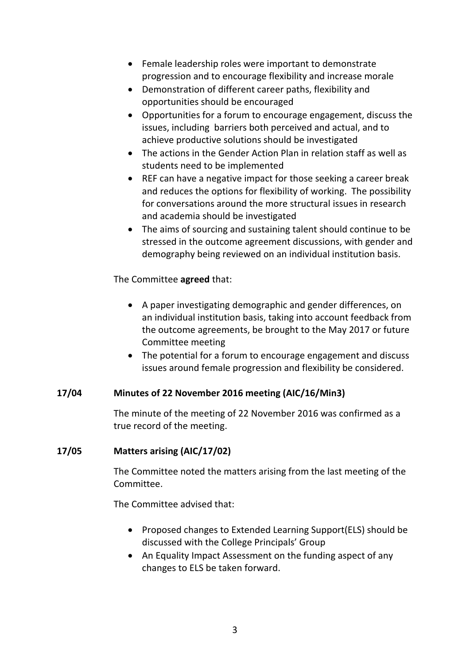- Female leadership roles were important to demonstrate progression and to encourage flexibility and increase morale
- Demonstration of different career paths, flexibility and opportunities should be encouraged
- Opportunities for a forum to encourage engagement, discuss the issues, including barriers both perceived and actual, and to achieve productive solutions should be investigated
- The actions in the Gender Action Plan in relation staff as well as students need to be implemented
- REF can have a negative impact for those seeking a career break and reduces the options for flexibility of working. The possibility for conversations around the more structural issues in research and academia should be investigated
- The aims of sourcing and sustaining talent should continue to be stressed in the outcome agreement discussions, with gender and demography being reviewed on an individual institution basis.

The Committee **agreed** that:

- A paper investigating demographic and gender differences, on an individual institution basis, taking into account feedback from the outcome agreements, be brought to the May 2017 or future Committee meeting
- The potential for a forum to encourage engagement and discuss issues around female progression and flexibility be considered.

### **17/04 Minutes of 22 November 2016 meeting (AIC/16/Min3)**

The minute of the meeting of 22 November 2016 was confirmed as a true record of the meeting.

### **17/05 Matters arising (AIC/17/02)**

The Committee noted the matters arising from the last meeting of the Committee.

- Proposed changes to Extended Learning Support(ELS) should be discussed with the College Principals' Group
- An Equality Impact Assessment on the funding aspect of any changes to ELS be taken forward.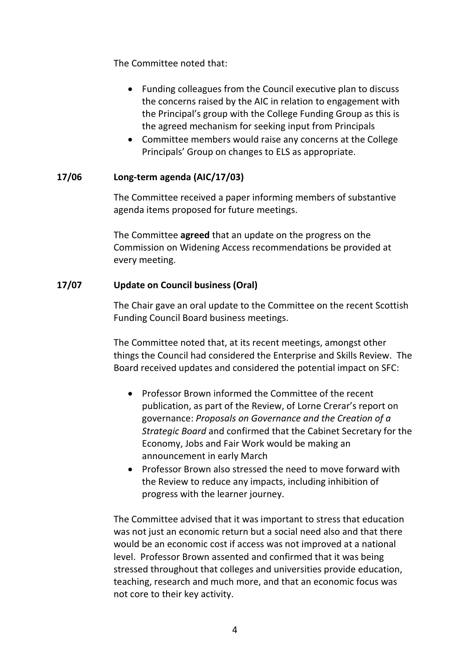The Committee noted that:

- Funding colleagues from the Council executive plan to discuss the concerns raised by the AIC in relation to engagement with the Principal's group with the College Funding Group as this is the agreed mechanism for seeking input from Principals
- Committee members would raise any concerns at the College Principals' Group on changes to ELS as appropriate.

# **17/06 Long-term agenda (AIC/17/03)**

The Committee received a paper informing members of substantive agenda items proposed for future meetings.

The Committee **agreed** that an update on the progress on the Commission on Widening Access recommendations be provided at every meeting.

### **17/07 Update on Council business (Oral)**

The Chair gave an oral update to the Committee on the recent Scottish Funding Council Board business meetings.

The Committee noted that, at its recent meetings, amongst other things the Council had considered the Enterprise and Skills Review. The Board received updates and considered the potential impact on SFC:

- Professor Brown informed the Committee of the recent publication, as part of the Review, of Lorne Crerar's report on governance: *Proposals on Governance and the Creation of a Strategic Board* and confirmed that the Cabinet Secretary for the Economy, Jobs and Fair Work would be making an announcement in early March
- Professor Brown also stressed the need to move forward with the Review to reduce any impacts, including inhibition of progress with the learner journey.

The Committee advised that it was important to stress that education was not just an economic return but a social need also and that there would be an economic cost if access was not improved at a national level. Professor Brown assented and confirmed that it was being stressed throughout that colleges and universities provide education, teaching, research and much more, and that an economic focus was not core to their key activity.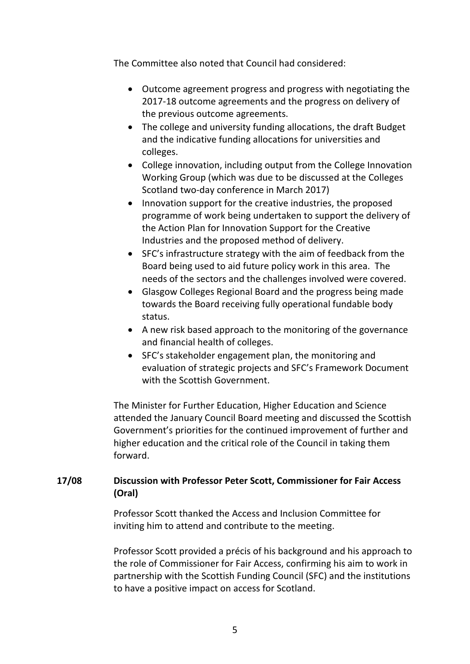The Committee also noted that Council had considered:

- Outcome agreement progress and progress with negotiating the 2017-18 outcome agreements and the progress on delivery of the previous outcome agreements.
- The college and university funding allocations, the draft Budget and the indicative funding allocations for universities and colleges.
- College innovation, including output from the College Innovation Working Group (which was due to be discussed at the Colleges Scotland two-day conference in March 2017)
- Innovation support for the creative industries, the proposed programme of work being undertaken to support the delivery of the Action Plan for Innovation Support for the Creative Industries and the proposed method of delivery.
- SFC's infrastructure strategy with the aim of feedback from the Board being used to aid future policy work in this area. The needs of the sectors and the challenges involved were covered.
- Glasgow Colleges Regional Board and the progress being made towards the Board receiving fully operational fundable body status.
- A new risk based approach to the monitoring of the governance and financial health of colleges.
- SFC's stakeholder engagement plan, the monitoring and evaluation of strategic projects and SFC's Framework Document with the Scottish Government.

The Minister for Further Education, Higher Education and Science attended the January Council Board meeting and discussed the Scottish Government's priorities for the continued improvement of further and higher education and the critical role of the Council in taking them forward.

# **17/08 Discussion with Professor Peter Scott, Commissioner for Fair Access (Oral)**

Professor Scott thanked the Access and Inclusion Committee for inviting him to attend and contribute to the meeting.

Professor Scott provided a précis of his background and his approach to the role of Commissioner for Fair Access, confirming his aim to work in partnership with the Scottish Funding Council (SFC) and the institutions to have a positive impact on access for Scotland.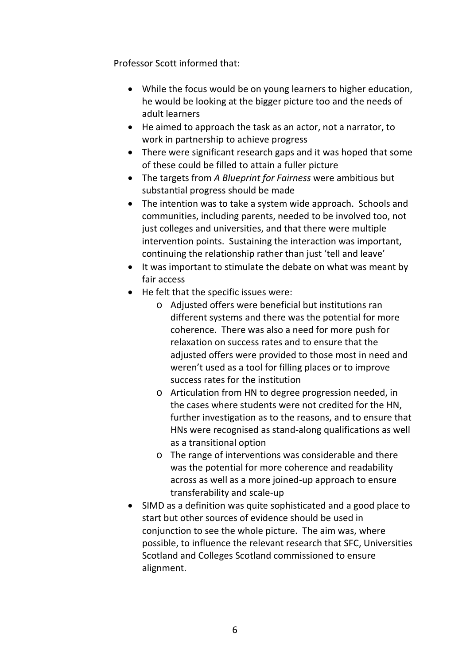Professor Scott informed that:

- While the focus would be on young learners to higher education, he would be looking at the bigger picture too and the needs of adult learners
- He aimed to approach the task as an actor, not a narrator, to work in partnership to achieve progress
- There were significant research gaps and it was hoped that some of these could be filled to attain a fuller picture
- The targets from *A Blueprint for Fairness* were ambitious but substantial progress should be made
- The intention was to take a system wide approach. Schools and communities, including parents, needed to be involved too, not just colleges and universities, and that there were multiple intervention points. Sustaining the interaction was important, continuing the relationship rather than just 'tell and leave'
- It was important to stimulate the debate on what was meant by fair access
- He felt that the specific issues were:
	- o Adjusted offers were beneficial but institutions ran different systems and there was the potential for more coherence. There was also a need for more push for relaxation on success rates and to ensure that the adjusted offers were provided to those most in need and weren't used as a tool for filling places or to improve success rates for the institution
	- o Articulation from HN to degree progression needed, in the cases where students were not credited for the HN, further investigation as to the reasons, and to ensure that HNs were recognised as stand-along qualifications as well as a transitional option
	- o The range of interventions was considerable and there was the potential for more coherence and readability across as well as a more joined-up approach to ensure transferability and scale-up
- SIMD as a definition was quite sophisticated and a good place to start but other sources of evidence should be used in conjunction to see the whole picture. The aim was, where possible, to influence the relevant research that SFC, Universities Scotland and Colleges Scotland commissioned to ensure alignment.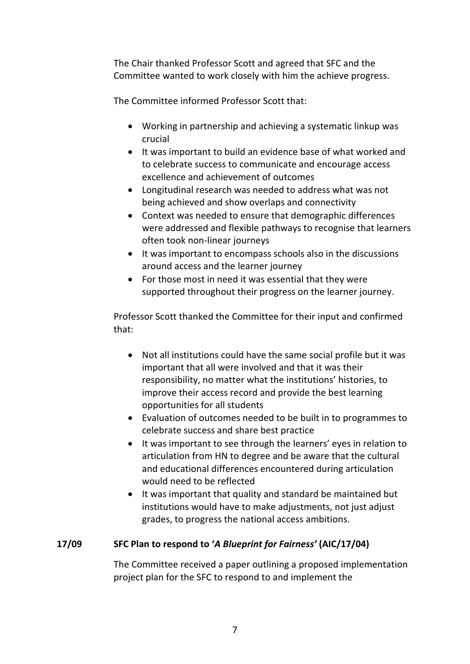The Chair thanked Professor Scott and agreed that SFC and the Committee wanted to work closely with him the achieve progress.

The Committee informed Professor Scott that:

- Working in partnership and achieving a systematic linkup was crucial
- It was important to build an evidence base of what worked and to celebrate success to communicate and encourage access excellence and achievement of outcomes
- Longitudinal research was needed to address what was not being achieved and show overlaps and connectivity
- Context was needed to ensure that demographic differences were addressed and flexible pathways to recognise that learners often took non-linear journeys
- It was important to encompass schools also in the discussions around access and the learner journey
- For those most in need it was essential that they were supported throughout their progress on the learner journey.

Professor Scott thanked the Committee for their input and confirmed that:

- Not all institutions could have the same social profile but it was important that all were involved and that it was their responsibility, no matter what the institutions' histories, to improve their access record and provide the best learning opportunities for all students
- Evaluation of outcomes needed to be built in to programmes to celebrate success and share best practice
- It was important to see through the learners' eyes in relation to articulation from HN to degree and be aware that the cultural and educational differences encountered during articulation would need to be reflected
- It was important that quality and standard be maintained but institutions would have to make adjustments, not just adjust grades, to progress the national access ambitions.

# **17/09 SFC Plan to respond to '***A Blueprint for Fairness'* **(AIC/17/04)**

The Committee received a paper outlining a proposed implementation project plan for the SFC to respond to and implement the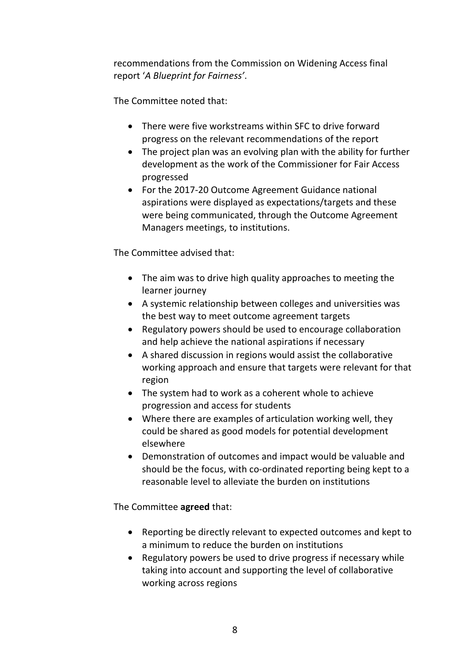recommendations from the Commission on Widening Access final report '*A Blueprint for Fairness'*.

The Committee noted that:

- There were five workstreams within SFC to drive forward progress on the relevant recommendations of the report
- The project plan was an evolving plan with the ability for further development as the work of the Commissioner for Fair Access progressed
- For the 2017-20 Outcome Agreement Guidance national aspirations were displayed as expectations/targets and these were being communicated, through the Outcome Agreement Managers meetings, to institutions.

The Committee advised that:

- The aim was to drive high quality approaches to meeting the learner journey
- A systemic relationship between colleges and universities was the best way to meet outcome agreement targets
- Regulatory powers should be used to encourage collaboration and help achieve the national aspirations if necessary
- A shared discussion in regions would assist the collaborative working approach and ensure that targets were relevant for that region
- The system had to work as a coherent whole to achieve progression and access for students
- Where there are examples of articulation working well, they could be shared as good models for potential development elsewhere
- Demonstration of outcomes and impact would be valuable and should be the focus, with co-ordinated reporting being kept to a reasonable level to alleviate the burden on institutions

The Committee **agreed** that:

- Reporting be directly relevant to expected outcomes and kept to a minimum to reduce the burden on institutions
- Regulatory powers be used to drive progress if necessary while taking into account and supporting the level of collaborative working across regions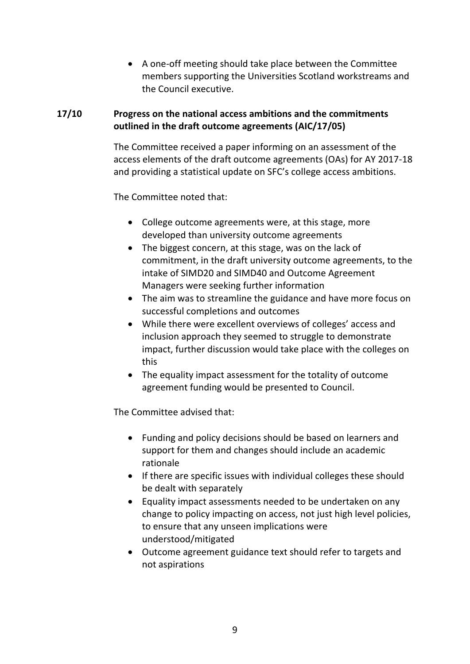• A one-off meeting should take place between the Committee members supporting the Universities Scotland workstreams and the Council executive.

### **17/10 Progress on the national access ambitions and the commitments outlined in the draft outcome agreements (AIC/17/05)**

The Committee received a paper informing on an assessment of the access elements of the draft outcome agreements (OAs) for AY 2017-18 and providing a statistical update on SFC's college access ambitions.

The Committee noted that:

- College outcome agreements were, at this stage, more developed than university outcome agreements
- The biggest concern, at this stage, was on the lack of commitment, in the draft university outcome agreements, to the intake of SIMD20 and SIMD40 and Outcome Agreement Managers were seeking further information
- The aim was to streamline the guidance and have more focus on successful completions and outcomes
- While there were excellent overviews of colleges' access and inclusion approach they seemed to struggle to demonstrate impact, further discussion would take place with the colleges on this
- The equality impact assessment for the totality of outcome agreement funding would be presented to Council.

- Funding and policy decisions should be based on learners and support for them and changes should include an academic rationale
- If there are specific issues with individual colleges these should be dealt with separately
- Equality impact assessments needed to be undertaken on any change to policy impacting on access, not just high level policies, to ensure that any unseen implications were understood/mitigated
- Outcome agreement guidance text should refer to targets and not aspirations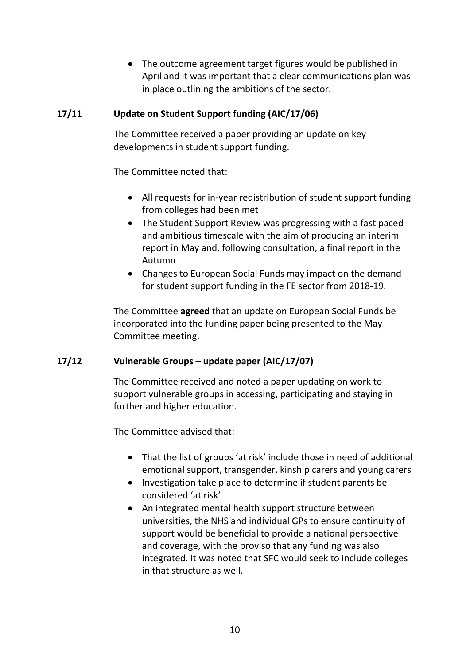• The outcome agreement target figures would be published in April and it was important that a clear communications plan was in place outlining the ambitions of the sector.

### **17/11 Update on Student Support funding (AIC/17/06)**

The Committee received a paper providing an update on key developments in student support funding.

The Committee noted that:

- All requests for in-year redistribution of student support funding from colleges had been met
- The Student Support Review was progressing with a fast paced and ambitious timescale with the aim of producing an interim report in May and, following consultation, a final report in the Autumn
- Changes to European Social Funds may impact on the demand for student support funding in the FE sector from 2018-19.

The Committee **agreed** that an update on European Social Funds be incorporated into the funding paper being presented to the May Committee meeting.

### **17/12 Vulnerable Groups – update paper (AIC/17/07)**

The Committee received and noted a paper updating on work to support vulnerable groups in accessing, participating and staying in further and higher education.

- That the list of groups 'at risk' include those in need of additional emotional support, transgender, kinship carers and young carers
- Investigation take place to determine if student parents be considered 'at risk'
- An integrated mental health support structure between universities, the NHS and individual GPs to ensure continuity of support would be beneficial to provide a national perspective and coverage, with the proviso that any funding was also integrated. It was noted that SFC would seek to include colleges in that structure as well.